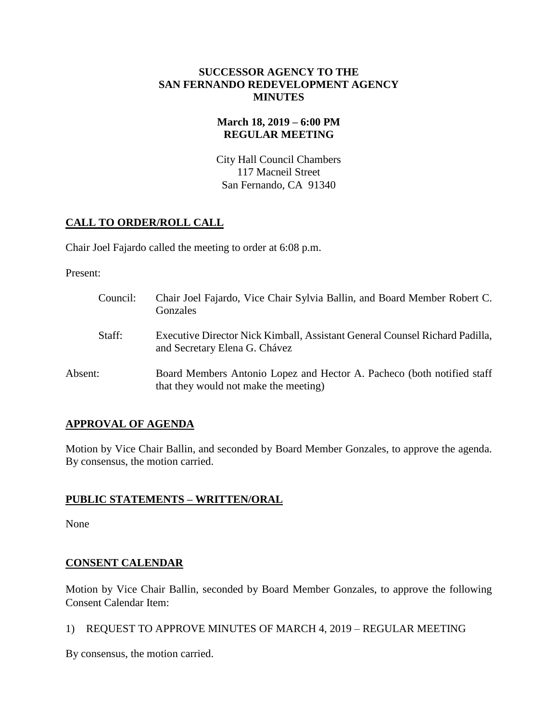#### **SUCCESSOR AGENCY TO THE SAN FERNANDO REDEVELOPMENT AGENCY MINUTES**

# **March 18, 2019 – 6:00 PM REGULAR MEETING**

City Hall Council Chambers 117 Macneil Street San Fernando, CA 91340

# **CALL TO ORDER/ROLL CALL**

Chair Joel Fajardo called the meeting to order at 6:08 p.m.

Present:

| Council: | Chair Joel Fajardo, Vice Chair Sylvia Ballin, and Board Member Robert C.<br>Gonzales                            |
|----------|-----------------------------------------------------------------------------------------------------------------|
| Staff:   | Executive Director Nick Kimball, Assistant General Counsel Richard Padilla,<br>and Secretary Elena G. Chávez    |
| Absent:  | Board Members Antonio Lopez and Hector A. Pacheco (both notified staff<br>that they would not make the meeting) |

# **APPROVAL OF AGENDA**

Motion by Vice Chair Ballin, and seconded by Board Member Gonzales, to approve the agenda. By consensus, the motion carried.

# **PUBLIC STATEMENTS – WRITTEN/ORAL**

None

# **CONSENT CALENDAR**

Motion by Vice Chair Ballin, seconded by Board Member Gonzales, to approve the following Consent Calendar Item:

1) REQUEST TO APPROVE MINUTES OF MARCH 4, 2019 – REGULAR MEETING

By consensus, the motion carried.